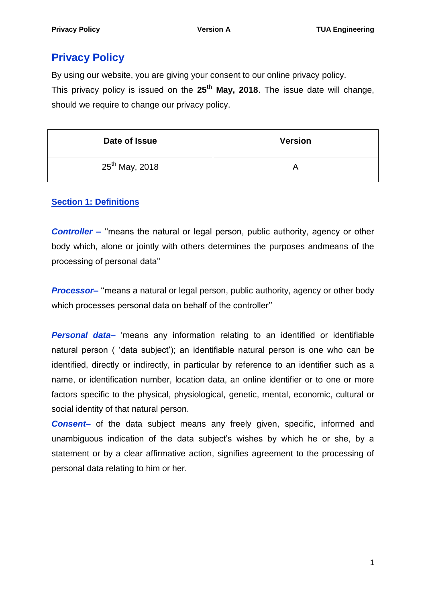# **Privacy Policy**

By using our website, you are giving your consent to our online privacy policy. This privacy policy is issued on the **25th May, 2018**. The issue date will change, should we require to change our privacy policy.

| Date of Issue       | <b>Version</b> |
|---------------------|----------------|
| $25^{th}$ May, 2018 |                |

# **Section 1: Definitions**

**Controller** – "means the natural or legal person, public authority, agency or other body which, alone or jointly with others determines the purposes andmeans of the processing of personal data''

**Processor**— "means a natural or legal person, public authority, agency or other body which processes personal data on behalf of the controller''

**Personal data** 'means any information relating to an identified or identifiable natural person ( 'data subject'); an identifiable natural person is one who can be identified, directly or indirectly, in particular by reference to an identifier such as a name, or identification number, location data, an online identifier or to one or more factors specific to the physical, physiological, genetic, mental, economic, cultural or social identity of that natural person.

**Consent** of the data subject means any freely given, specific, informed and unambiguous indication of the data subject's wishes by which he or she, by a statement or by a clear affirmative action, signifies agreement to the processing of personal data relating to him or her.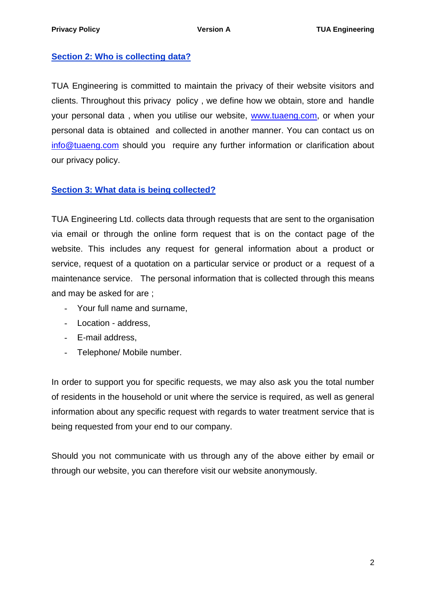# **Section 2: Who is collecting data?**

TUA Engineering is committed to maintain the privacy of their website visitors and clients. Throughout this privacy policy , we define how we obtain, store and handle your personal data , when you utilise our website, [www.tuaeng.com,](http://www.tuaeng.com/) or when your personal data is obtained and collected in another manner. You can contact us on [info@tuaeng.com](mailto:info@tuaeng.com) should you require any further information or clarification about our privacy policy.

# **Section 3: What data is being collected?**

TUA Engineering Ltd. collects data through requests that are sent to the organisation via email or through the online form request that is on the contact page of the website. This includes any request for general information about a product or service, request of a quotation on a particular service or product or a request of a maintenance service. The personal information that is collected through this means and may be asked for are ;

- Your full name and surname,
- Location address,
- E-mail address,
- Telephone/ Mobile number.

In order to support you for specific requests, we may also ask you the total number of residents in the household or unit where the service is required, as well as general information about any specific request with regards to water treatment service that is being requested from your end to our company.

Should you not communicate with us through any of the above either by email or through our website, you can therefore visit our website anonymously.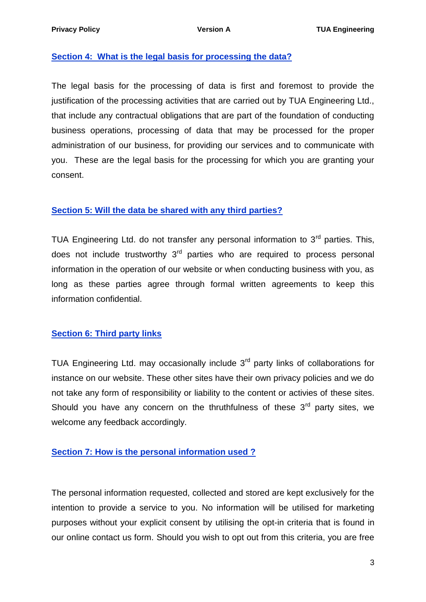#### **Section 4: What is the legal basis for processing the data?**

The legal basis for the processing of data is first and foremost to provide the justification of the processing activities that are carried out by TUA Engineering Ltd., that include any contractual obligations that are part of the foundation of conducting business operations, processing of data that may be processed for the proper administration of our business, for providing our services and to communicate with you. These are the legal basis for the processing for which you are granting your consent.

#### **Section 5: Will the data be shared with any third parties?**

TUA Engineering Ltd. do not transfer any personal information to  $3<sup>rd</sup>$  parties. This, does not include trustworthy  $3<sup>rd</sup>$  parties who are required to process personal information in the operation of our website or when conducting business with you, as long as these parties agree through formal written agreements to keep this information confidential.

#### **Section 6: Third party links**

TUA Engineering Ltd. may occasionally include  $3<sup>rd</sup>$  party links of collaborations for instance on our website. These other sites have their own privacy policies and we do not take any form of responsibility or liability to the content or activies of these sites. Should you have any concern on the thruthfulness of these  $3<sup>rd</sup>$  party sites, we welcome any feedback accordingly.

### **Section 7: How is the personal information used ?**

The personal information requested, collected and stored are kept exclusively for the intention to provide a service to you. No information will be utilised for marketing purposes without your explicit consent by utilising the opt-in criteria that is found in our online contact us form. Should you wish to opt out from this criteria, you are free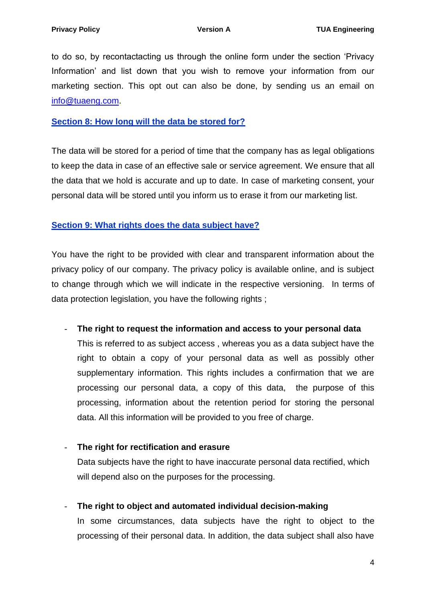to do so, by recontactacting us through the online form under the section 'Privacy Information' and list down that you wish to remove your information from our marketing section. This opt out can also be done, by sending us an email on [info@tuaeng.com.](mailto:info@tuaeng.com)

### **Section 8: How long will the data be stored for?**

The data will be stored for a period of time that the company has as legal obligations to keep the data in case of an effective sale or service agreement. We ensure that all the data that we hold is accurate and up to date. In case of marketing consent, your personal data will be stored until you inform us to erase it from our marketing list.

### **Section 9: What rights does the data subject have?**

You have the right to be provided with clear and transparent information about the privacy policy of our company. The privacy policy is available online, and is subject to change through which we will indicate in the respective versioning. In terms of data protection legislation, you have the following rights ;

- **The right to request the information and access to your personal data**

This is referred to as subject access , whereas you as a data subject have the right to obtain a copy of your personal data as well as possibly other supplementary information. This rights includes a confirmation that we are processing our personal data, a copy of this data, the purpose of this processing, information about the retention period for storing the personal data. All this information will be provided to you free of charge.

#### - **The right for rectification and erasure**

Data subjects have the right to have inaccurate personal data rectified, which will depend also on the purposes for the processing.

- **The right to object and automated individual decision-making**

In some circumstances, data subjects have the right to object to the processing of their personal data. In addition, the data subject shall also have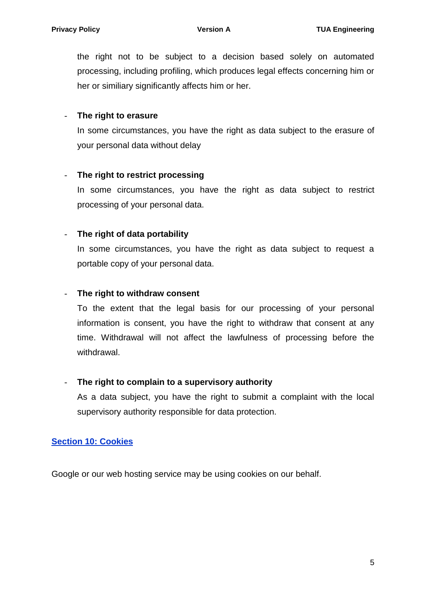the right not to be subject to a decision based solely on automated processing, including profiling, which produces legal effects concerning him or her or similiary significantly affects him or her.

### - **The right to erasure**

In some circumstances, you have the right as data subject to the erasure of your personal data without delay

### - **The right to restrict processing**

In some circumstances, you have the right as data subject to restrict processing of your personal data.

### - **The right of data portability**

In some circumstances, you have the right as data subject to request a portable copy of your personal data.

### - **The right to withdraw consent**

To the extent that the legal basis for our processing of your personal information is consent, you have the right to withdraw that consent at any time. Withdrawal will not affect the lawfulness of processing before the withdrawal.

#### - **The right to complain to a supervisory authority**

As a data subject, you have the right to submit a complaint with the local supervisory authority responsible for data protection.

# **Section 10: Cookies**

Google or our web hosting service may be using cookies on our behalf.